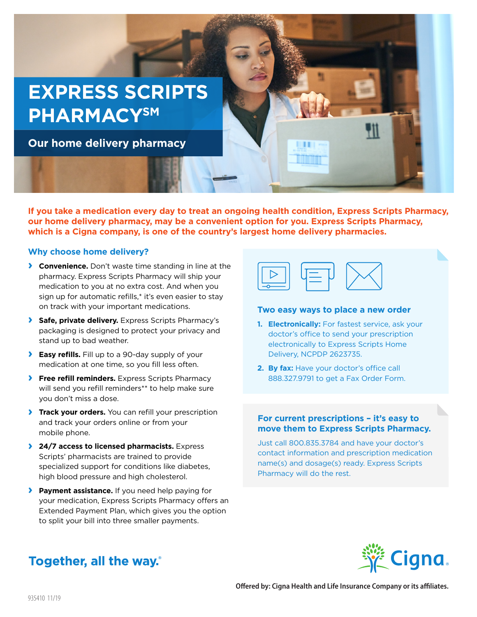

**If you take a medication every day to treat an ongoing health condition, Express Scripts Pharmacy, our home delivery pharmacy, may be a convenient option for you. Express Scripts Pharmacy, which is a Cigna company, is one of the country's largest home delivery pharmacies.** 

## **Why choose home delivery?**

- **› Convenience.** Don't waste time standing in line at the pharmacy. Express Scripts Pharmacy will ship your medication to you at no extra cost. And when you sign up for automatic refills,\* it's even easier to stay on track with your important medications.
- **› Safe, private delivery.** Express Scripts Pharmacy's packaging is designed to protect your privacy and stand up to bad weather.
- **› Easy refills.** Fill up to a 90-day supply of your medication at one time, so you fill less often.
- **› Free refill reminders.** Express Scripts Pharmacy will send you refill reminders\*\* to help make sure you don't miss a dose.
- **› Track your orders.** You can refill your prescription and track your orders online or from your mobile phone.
- **› 24/7 access to licensed pharmacists.** Express Scripts' pharmacists are trained to provide specialized support for conditions like diabetes, high blood pressure and high cholesterol.
- **› Payment assistance.** If you need help paying for your medication, Express Scripts Pharmacy offers an Extended Payment Plan, which gives you the option to split your bill into three smaller payments.



#### **Two easy ways to place a new order**

- **1. Electronically:** For fastest service, ask your doctor's office to send your prescription electronically to Express Scripts Home Delivery, NCPDP 2623735.
- **2. By fax:** Have your doctor's office call 888.327.9791 to get a Fax Order Form.

# **For current prescriptions – it's easy to move them to Express Scripts Pharmacy.**

Just call 800.835.3784 and have your doctor's contact information and prescription medication name(s) and dosage(s) ready. Express Scripts Pharmacy will do the rest.